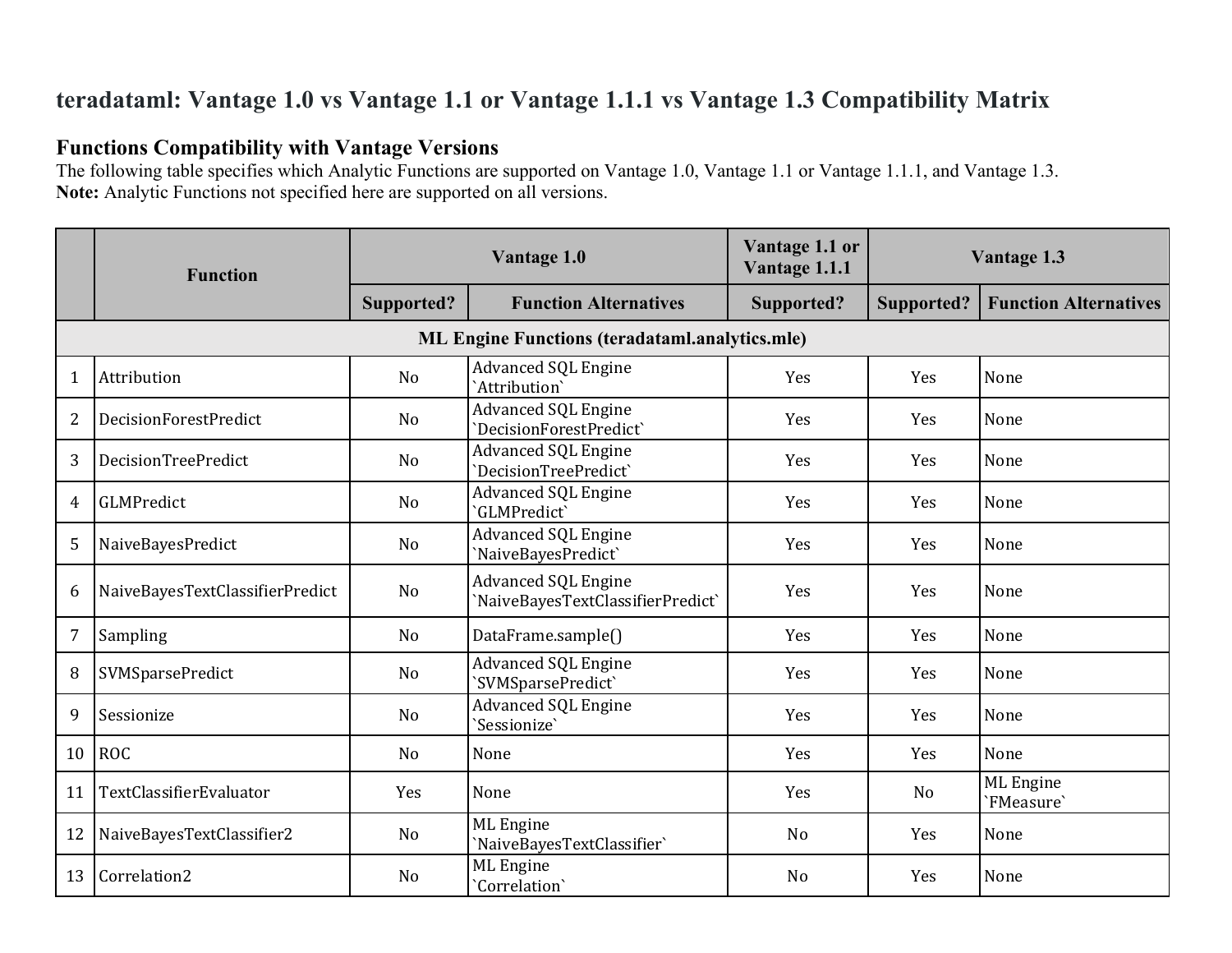# **teradataml: Vantage 1.0 vs Vantage 1.1 or Vantage 1.1.1 vs Vantage 1.3 Compatibility Matrix**

# **Functions Compatibility with Vantage Versions**

The following table specifies which Analytic Functions are supported on Vantage 1.0, Vantage 1.1 or Vantage 1.1.1, and Vantage 1.3. **Note:** Analytic Functions not specified here are supported on all versions.

|                | <b>Function</b>                 | Vantage 1.0    |                                                                 | Vantage 1.1 or<br>Vantage 1.1.1 |                | Vantage 1.3                  |
|----------------|---------------------------------|----------------|-----------------------------------------------------------------|---------------------------------|----------------|------------------------------|
|                |                                 | Supported?     | <b>Function Alternatives</b>                                    | Supported?                      | Supported?     | <b>Function Alternatives</b> |
|                |                                 |                | <b>ML Engine Functions (teradataml.analytics.mle)</b>           |                                 |                |                              |
| 1              | Attribution                     | N <sub>o</sub> | <b>Advanced SQL Engine</b><br>`Attribution`                     | Yes                             | Yes            | None                         |
| 2              | DecisionForestPredict           | N <sub>o</sub> | <b>Advanced SQL Engine</b><br>'DecisionForestPredict'           | Yes                             | Yes            | None                         |
| 3              | DecisionTreePredict             | N <sub>o</sub> | <b>Advanced SQL Engine</b><br>'DecisionTreePredict'             | Yes                             | Yes            | None                         |
| 4              | GLMPredict                      | N <sub>o</sub> | Advanced SQL Engine<br>'GLMPredict'                             | Yes                             | Yes            | None                         |
| 5              | NaiveBayesPredict               | N <sub>o</sub> | <b>Advanced SQL Engine</b><br>'NaiveBayesPredict'               | Yes                             | Yes            | None                         |
| 6              | NaiveBayesTextClassifierPredict | No             | <b>Advanced SQL Engine</b><br>'NaiveBayesTextClassifierPredict' | Yes                             | Yes            | None                         |
| $\overline{7}$ | Sampling                        | N <sub>o</sub> | DataFrame.sample()                                              | Yes                             | Yes            | None                         |
| 8              | SVMSparsePredict                | No             | Advanced SQL Engine<br>'SVMSparsePredict'                       | Yes                             | Yes            | None                         |
| 9              | Sessionize                      | N <sub>o</sub> | <b>Advanced SQL Engine</b><br>'Sessionize'                      | Yes                             | Yes            | None                         |
| 10             | <b>ROC</b>                      | N <sub>0</sub> | None                                                            | Yes                             | Yes            | None                         |
| 11             | TextClassifierEvaluator         | Yes            | None                                                            | Yes                             | N <sub>0</sub> | ML Engine<br>'FMeasure'      |
| 12             | NaiveBayesTextClassifier2       | N <sub>o</sub> | ML Engine<br>'NaiveBayesTextClassifier'                         | N <sub>o</sub>                  | Yes            | None                         |
| 13             | Correlation2                    | N <sub>o</sub> | ML Engine<br>'Correlation'                                      | N <sub>o</sub>                  | Yes            | None                         |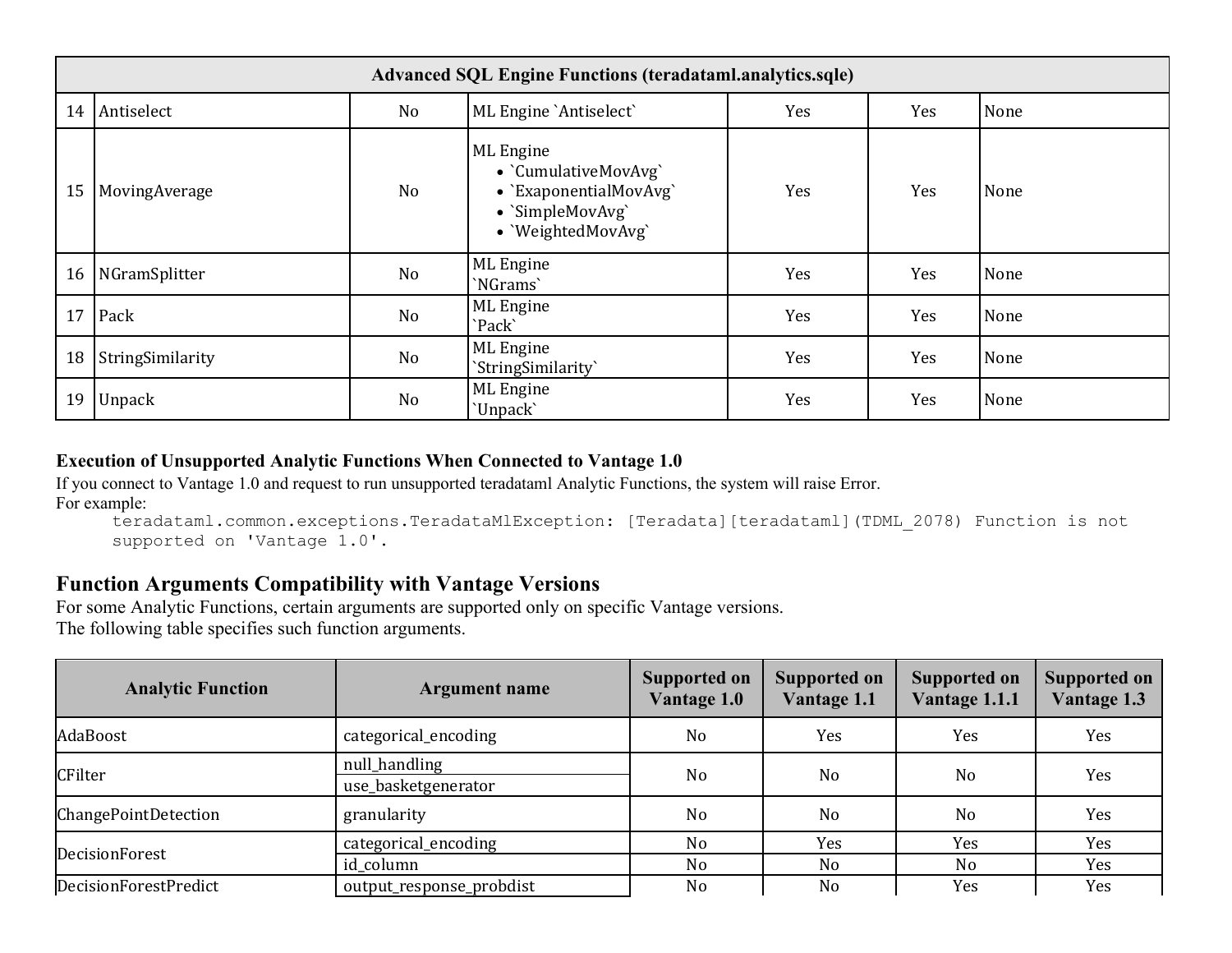|    | <b>Advanced SQL Engine Functions (teradataml.analytics.sqle)</b> |                |                                                                                                       |     |     |      |  |  |
|----|------------------------------------------------------------------|----------------|-------------------------------------------------------------------------------------------------------|-----|-----|------|--|--|
| 14 | Antiselect                                                       | N <sub>o</sub> | ML Engine `Antiselect`                                                                                | Yes | Yes | None |  |  |
| 15 | MovingAverage                                                    | N <sub>o</sub> | ML Engine<br>• `CumulativeMovAvg`<br>• `ExaponentialMovAvg`<br>· `SimpleMovAvg`<br>• 'WeightedMovAvg' | Yes | Yes | None |  |  |
| 16 | NGramSplitter                                                    | N <sub>o</sub> | ML Engine<br>'NGrams'                                                                                 | Yes | Yes | None |  |  |
| 17 | Pack                                                             | N <sub>o</sub> | ML Engine<br>`Pack`                                                                                   | Yes | Yes | None |  |  |
| 18 | StringSimilarity                                                 | N <sub>o</sub> | ML Engine<br>`StringSimilarity`                                                                       | Yes | Yes | None |  |  |
| 19 | <b>Unpack</b>                                                    | No             | ML Engine<br>'Unpack'                                                                                 | Yes | Yes | None |  |  |

### **Execution of Unsupported Analytic Functions When Connected to Vantage 1.0**

If you connect to Vantage 1.0 and request to run unsupported teradataml Analytic Functions, the system will raise Error. For example:

```
teradataml.common.exceptions.TeradataMlException: [Teradata][teradataml](TDML_2078) Function is not 
supported on 'Vantage 1.0'.
```
## **Function Arguments Compatibility with Vantage Versions**

For some Analytic Functions, certain arguments are supported only on specific Vantage versions. The following table specifies such function arguments.

| <b>Analytic Function</b>    | <b>Argument name</b>                 | <b>Supported on</b><br>Vantage 1.0 | <b>Supported on</b><br>Vantage 1.1 | <b>Supported on</b><br>Vantage 1.1.1 | <b>Supported on</b><br>Vantage 1.3 |
|-----------------------------|--------------------------------------|------------------------------------|------------------------------------|--------------------------------------|------------------------------------|
| AdaBoost                    | categorical_encoding                 | N <sub>o</sub>                     | Yes                                | Yes                                  | Yes                                |
| CFilter                     | null_handling<br>use_basketgenerator | N <sub>o</sub>                     | No                                 | No                                   | Yes                                |
| <b>ChangePointDetection</b> | granularity                          | No                                 | N <sub>o</sub>                     | N <sub>o</sub>                       | Yes                                |
| DecisionForest              | categorical_encoding                 | N <sub>o</sub>                     | Yes                                | Yes                                  | Yes                                |
|                             | id column                            | No                                 | N <sub>o</sub>                     | N <sub>o</sub>                       | Yes                                |
| DecisionForestPredict       | output_response_probdist             | No                                 | N <sub>o</sub>                     | Yes                                  | Yes                                |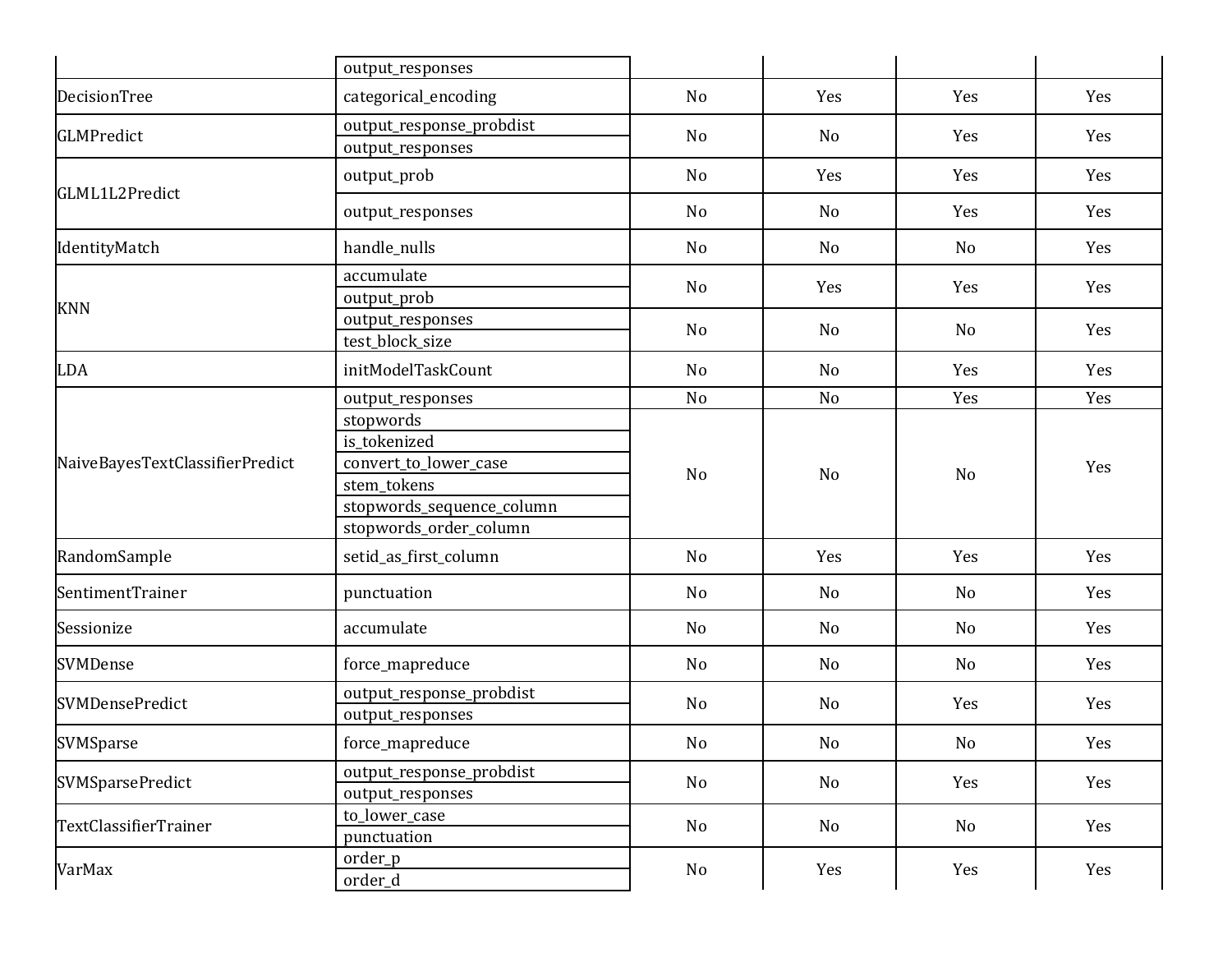|                                 | output_responses                                                                                                         |                |     |                |     |
|---------------------------------|--------------------------------------------------------------------------------------------------------------------------|----------------|-----|----------------|-----|
| DecisionTree                    | categorical_encoding                                                                                                     | N <sub>o</sub> | Yes | Yes            | Yes |
| <b>GLMPredict</b>               | output_response_probdist<br>output_responses                                                                             | N <sub>o</sub> | No  | Yes            | Yes |
|                                 | output_prob                                                                                                              | N <sub>o</sub> | Yes | Yes            | Yes |
| GLML1L2Predict                  | output_responses                                                                                                         | No             | No  | Yes            | Yes |
| IdentityMatch                   | handle_nulls                                                                                                             | N <sub>o</sub> | No  | No             | Yes |
| <b>KNN</b>                      | accumulate<br>output_prob                                                                                                | N <sub>o</sub> | Yes | Yes            | Yes |
|                                 | output_responses<br>test_block_size                                                                                      | N <sub>o</sub> | No  | No             | Yes |
| <b>LDA</b>                      | initModelTaskCount                                                                                                       | No             | No  | Yes            | Yes |
|                                 | output_responses                                                                                                         | N <sub>o</sub> | No  | Yes            | Yes |
| NaiveBayesTextClassifierPredict | stopwords<br>is_tokenized<br>convert_to_lower_case<br>stem_tokens<br>stopwords_sequence_column<br>stopwords_order_column | N <sub>o</sub> | No  | N <sub>o</sub> | Yes |
| RandomSample                    | setid_as_first_column                                                                                                    | N <sub>o</sub> | Yes | Yes            | Yes |
| SentimentTrainer                | punctuation                                                                                                              | N <sub>o</sub> | No  | N <sub>o</sub> | Yes |
| Sessionize                      | accumulate                                                                                                               | N <sub>o</sub> | No  | No             | Yes |
| SVMDense                        | force_mapreduce                                                                                                          | N <sub>o</sub> | No  | No             | Yes |
| <b>SVMDensePredict</b>          | output_response_probdist<br>output_responses                                                                             | N <sub>o</sub> | No  | Yes            | Yes |
| SVMSparse                       | force_mapreduce                                                                                                          | No             | No  | No             | Yes |
| <b>SVMSparsePredict</b>         | output_response_probdist<br>output_responses                                                                             | No             | No  | Yes            | Yes |
| TextClassifierTrainer           | to_lower_case<br>punctuation                                                                                             | No             | No  | No             | Yes |
| VarMax                          | order_p<br>order_d                                                                                                       | No             | Yes | Yes            | Yes |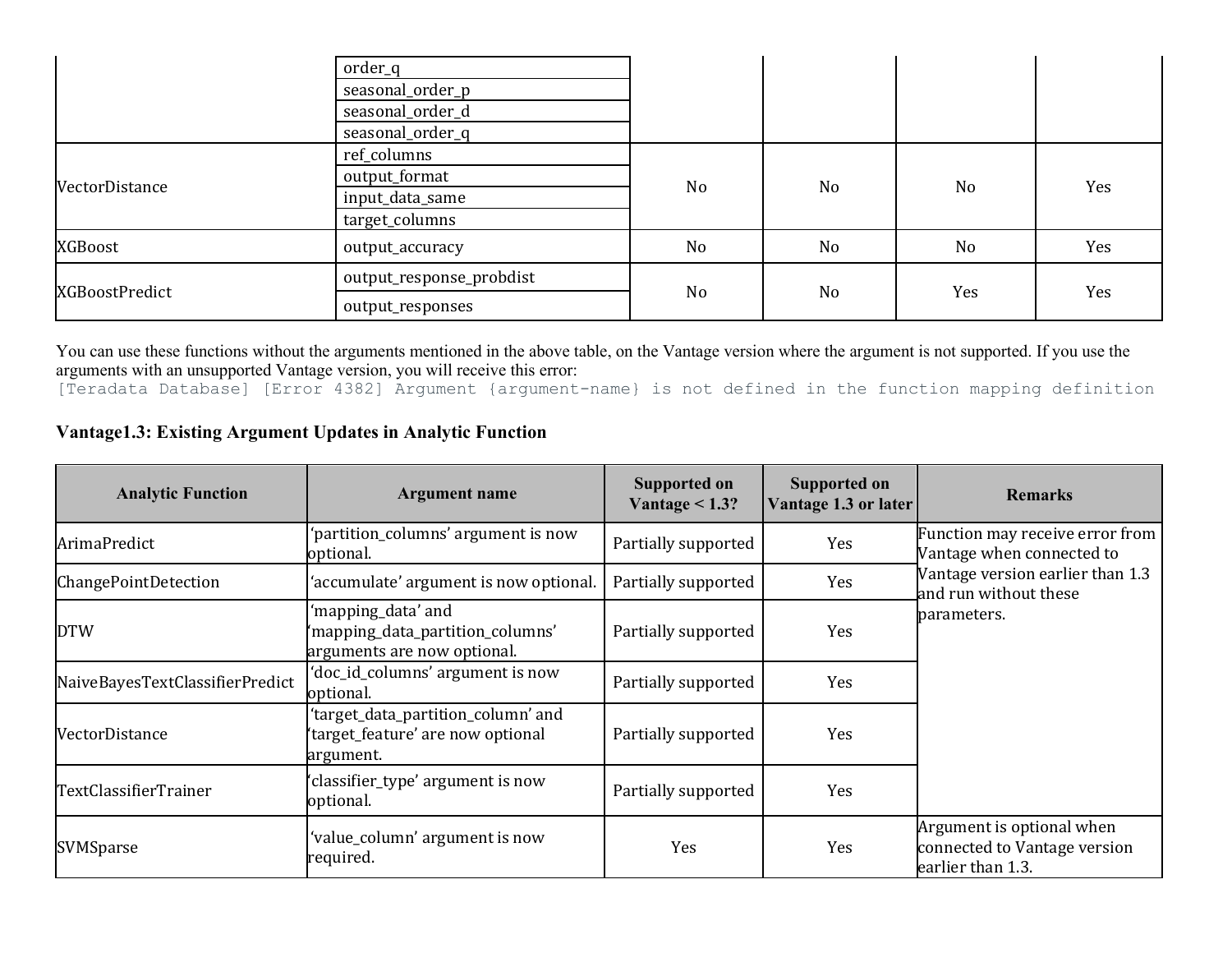|                | order_q                  |                |    |                |     |
|----------------|--------------------------|----------------|----|----------------|-----|
|                | seasonal_order_p         |                |    |                |     |
|                | seasonal_order_d         |                |    |                |     |
|                | seasonal_order_q         |                |    |                |     |
|                | ref_columns              | No             | No | N <sub>o</sub> | Yes |
| VectorDistance | output_format            |                |    |                |     |
|                | input_data_same          |                |    |                |     |
|                | target_columns           |                |    |                |     |
| XGBoost        | output_accuracy          | N <sub>o</sub> | No | N <sub>o</sub> | Yes |
| XGBoostPredict | output_response_probdist | No             | No | Yes            | Yes |
|                | output_responses         |                |    |                |     |

You can use these functions without the arguments mentioned in the above table, on the Vantage version where the argument is not supported. If you use the arguments with an unsupported Vantage version, you will receive this error:

[Teradata Database] [Error 4382] Argument {argument-name} is not defined in the function mapping definition

### **Vantage1.3: Existing Argument Updates in Analytic Function**

| <b>Analytic Function</b>        | <b>Argument name</b>                                                                  | <b>Supported on</b><br>Vantage $<$ 1.3? | <b>Supported on</b><br>Vantage 1.3 or later | <b>Remarks</b>                                                                 |
|---------------------------------|---------------------------------------------------------------------------------------|-----------------------------------------|---------------------------------------------|--------------------------------------------------------------------------------|
| ArimaPredict                    | 'partition_columns' argument is now<br>optional.                                      | Partially supported                     | Yes                                         | Function may receive error from<br>Vantage when connected to                   |
| ChangePointDetection            | 'accumulate' argument is now optional.                                                | Partially supported                     | Yes                                         | Vantage version earlier than 1.3<br>and run without these                      |
| <b>DTW</b>                      | 'mapping_data' and<br>'mapping_data_partition_columns'<br>arguments are now optional. | Partially supported                     | Yes                                         | parameters.                                                                    |
| NaiveBayesTextClassifierPredict | 'doc_id_columns' argument is now<br>optional.                                         | Partially supported                     | Yes                                         |                                                                                |
| VectorDistance                  | 'target_data_partition_column' and<br>'target_feature' are now optional<br>argument.  | Partially supported                     | Yes                                         |                                                                                |
| TextClassifierTrainer           | 'classifier_type' argument is now<br>optional.                                        | Partially supported                     | Yes                                         |                                                                                |
| SVMSparse                       | value_column' argument is now<br>required.                                            | Yes                                     | Yes                                         | Argument is optional when<br>connected to Vantage version<br>earlier than 1.3. |